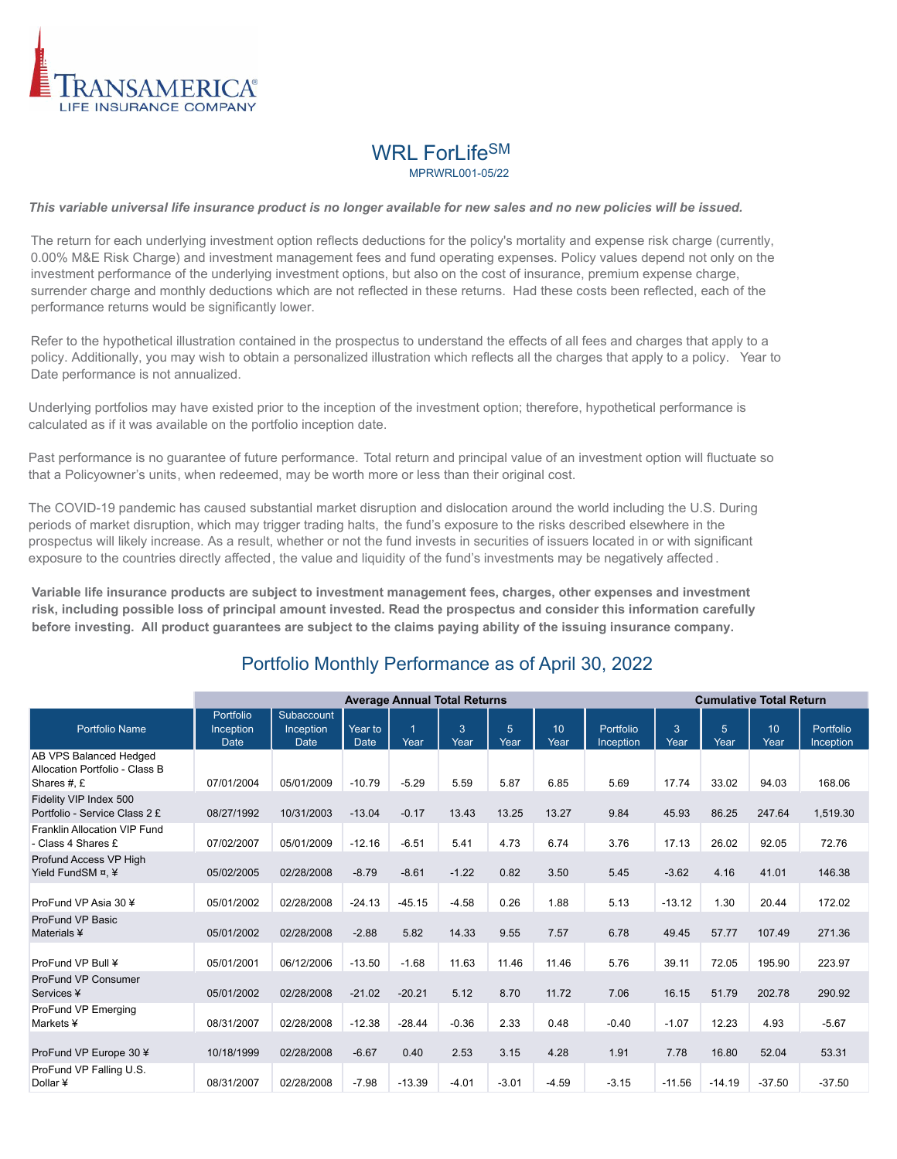

# WRL ForLife<sup>SM</sup>

MPRWRL001-05/22

#### *This variable universal life insurance product is no longer available for new sales and no new policies will be issued.*

The return for each underlying investment option reflects deductions for the policy's mortality and expense risk charge (currently, 0.00% M&E Risk Charge) and investment management fees and fund operating expenses. Policy values depend not only on the investment performance of the underlying investment options, but also on the cost of insurance, premium expense charge, surrender charge and monthly deductions which are not reflected in these returns. Had these costs been reflected, each of the performance returns would be significantly lower.

Refer to the hypothetical illustration contained in the prospectus to understand the effects of all fees and charges that apply to a policy. Additionally, you may wish to obtain a personalized illustration which reflects all the charges that apply to a policy. Year to Date performance is not annualized.

Underlying portfolios may have existed prior to the inception of the investment option; therefore, hypothetical performance is calculated as if it was available on the portfolio inception date.

Past performance is no guarantee of future performance. Total return and principal value of an investment option will fluctuate so that a Policyowner's units, when redeemed, may be worth more or less than their original cost.

The COVID-19 pandemic has caused substantial market disruption and dislocation around the world including the U.S. During periods of market disruption, which may trigger trading halts, the fund's exposure to the risks described elsewhere in the prospectus will likely increase. As a result, whether or not the fund invests in securities of issuers located in or with significant exposure to the countries directly affected, the value and liquidity of the fund's investments may be negatively affected .

**Variable life insurance products are subject to investment management fees, charges, other expenses and investment risk, including possible loss of principal amount invested. Read the prospectus and consider this information carefully before investing. All product guarantees are subject to the claims paying ability of the issuing insurance company.**

### Portfolio Monthly Performance as of April 30, 2022

|                                                                         | <b>Average Annual Total Returns</b>   |                                        |                        |          |           |                        |            | <b>Cumulative Total Return</b> |           |                        |                          |                        |
|-------------------------------------------------------------------------|---------------------------------------|----------------------------------------|------------------------|----------|-----------|------------------------|------------|--------------------------------|-----------|------------------------|--------------------------|------------------------|
| <b>Portfolio Name</b>                                                   | Portfolio<br>Inception<br><b>Date</b> | Subaccount<br>Inception<br><b>Date</b> | Year to<br><b>Date</b> | Year     | 3<br>Year | $\overline{5}$<br>Year | 10<br>Year | Portfolio<br>Inception         | 3<br>Year | $\overline{5}$<br>Year | 10 <sup>10</sup><br>Year | Portfolio<br>Inception |
| AB VPS Balanced Hedged<br>Allocation Portfolio - Class B<br>Shares #, £ | 07/01/2004                            | 05/01/2009                             | $-10.79$               | $-5.29$  | 5.59      | 5.87                   | 6.85       | 5.69                           | 17.74     | 33.02                  | 94.03                    | 168.06                 |
| Fidelity VIP Index 500<br>Portfolio - Service Class 2 £                 | 08/27/1992                            | 10/31/2003                             | $-13.04$               | $-0.17$  | 13.43     | 13.25                  | 13.27      | 9.84                           | 45.93     | 86.25                  | 247.64                   | 1,519.30               |
| Franklin Allocation VIP Fund<br>- Class 4 Shares £                      | 07/02/2007                            | 05/01/2009                             | $-12.16$               | $-6.51$  | 5.41      | 4.73                   | 6.74       | 3.76                           | 17.13     | 26.02                  | 92.05                    | 72.76                  |
| Profund Access VP High<br>Yield FundSM ¤. ¥                             | 05/02/2005                            | 02/28/2008                             | $-8.79$                | $-8.61$  | $-1.22$   | 0.82                   | 3.50       | 5.45                           | $-3.62$   | 4.16                   | 41.01                    | 146.38                 |
| ProFund VP Asia 30 ¥                                                    | 05/01/2002                            | 02/28/2008                             | $-24.13$               | $-45.15$ | $-4.58$   | 0.26                   | 1.88       | 5.13                           | $-13.12$  | 1.30                   | 20.44                    | 172.02                 |
| ProFund VP Basic<br>Materials ¥                                         | 05/01/2002                            | 02/28/2008                             | $-2.88$                | 5.82     | 14.33     | 9.55                   | 7.57       | 6.78                           | 49.45     | 57.77                  | 107.49                   | 271.36                 |
| ProFund VP Bull ¥                                                       | 05/01/2001                            | 06/12/2006                             | $-13.50$               | $-1.68$  | 11.63     | 11.46                  | 11.46      | 5.76                           | 39.11     | 72.05                  | 195.90                   | 223.97                 |
| ProFund VP Consumer<br>Services ¥                                       | 05/01/2002                            | 02/28/2008                             | $-21.02$               | $-20.21$ | 5.12      | 8.70                   | 11.72      | 7.06                           | 16.15     | 51.79                  | 202.78                   | 290.92                 |
| ProFund VP Emerging<br>Markets ¥                                        | 08/31/2007                            | 02/28/2008                             | $-12.38$               | $-28.44$ | $-0.36$   | 2.33                   | 0.48       | $-0.40$                        | $-1.07$   | 12.23                  | 4.93                     | $-5.67$                |
| ProFund VP Europe 30 ¥                                                  | 10/18/1999                            | 02/28/2008                             | $-6.67$                | 0.40     | 2.53      | 3.15                   | 4.28       | 1.91                           | 7.78      | 16.80                  | 52.04                    | 53.31                  |
| ProFund VP Falling U.S.<br>Dollar ¥                                     | 08/31/2007                            | 02/28/2008                             | $-7.98$                | $-13.39$ | $-4.01$   | $-3.01$                | $-4.59$    | $-3.15$                        | $-11.56$  | $-14.19$               | $-37.50$                 | $-37.50$               |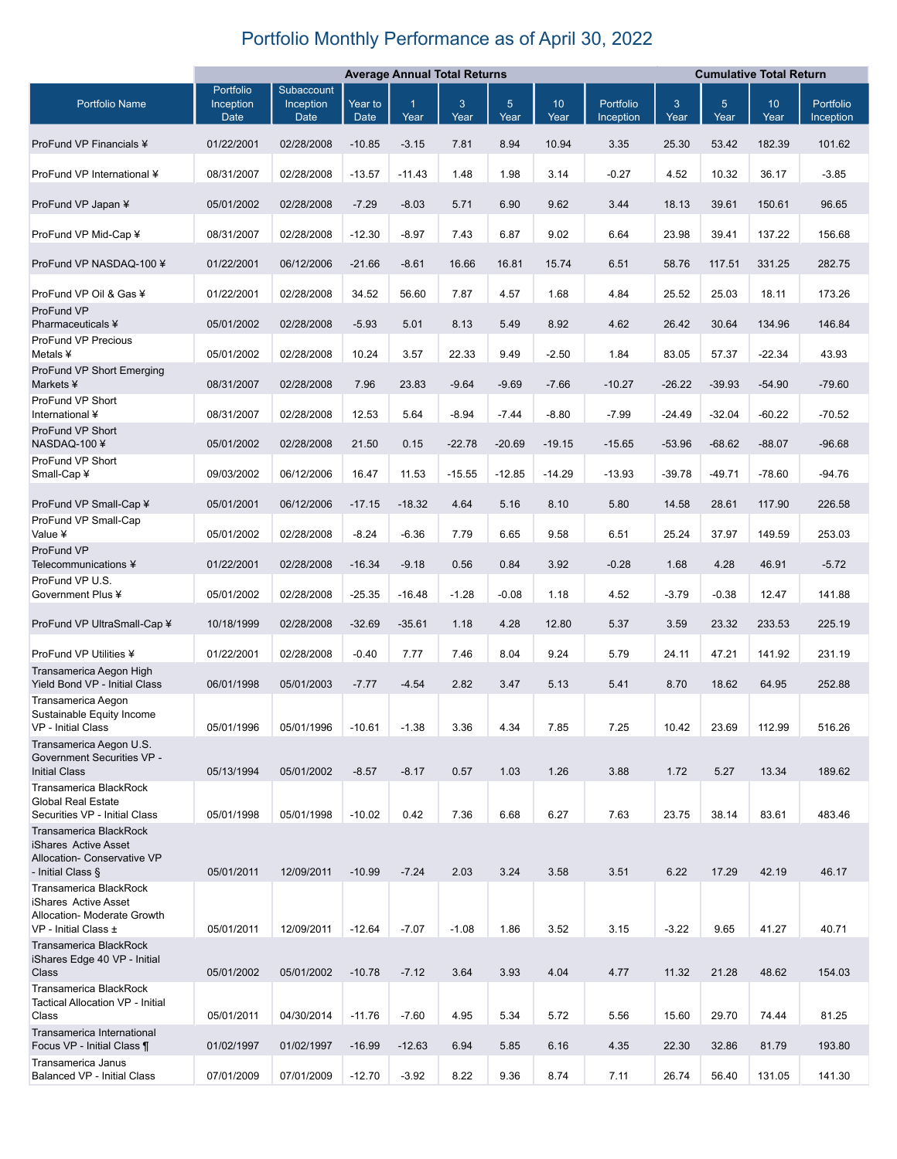## Portfolio Monthly Performance as of April 30, 2022

|                                                                                                           | <b>Average Annual Total Returns</b>   |                                        |                        |                        |                      | <b>Cumulative Total Return</b> |                         |                        |           |                        |                         |                        |
|-----------------------------------------------------------------------------------------------------------|---------------------------------------|----------------------------------------|------------------------|------------------------|----------------------|--------------------------------|-------------------------|------------------------|-----------|------------------------|-------------------------|------------------------|
| <b>Portfolio Name</b>                                                                                     | Portfolio<br>Inception<br><b>Date</b> | Subaccount<br>Inception<br><b>Date</b> | Year to<br><b>Date</b> | $\overline{1}$<br>Year | $\mathbf{3}$<br>Year | 5 <sup>5</sup><br>Year         | 10 <sup>1</sup><br>Year | Portfolio<br>Inception | 3<br>Year | 5 <sup>5</sup><br>Year | 10 <sup>°</sup><br>Year | Portfolio<br>Inception |
| ProFund VP Financials ¥                                                                                   | 01/22/2001                            | 02/28/2008                             | $-10.85$               | $-3.15$                | 7.81                 | 8.94                           | 10.94                   | 3.35                   | 25.30     | 53.42                  | 182.39                  | 101.62                 |
| ProFund VP International ¥                                                                                | 08/31/2007                            | 02/28/2008                             | $-13.57$               | $-11.43$               | 1.48                 | 1.98                           | 3.14                    | $-0.27$                | 4.52      | 10.32                  | 36.17                   | $-3.85$                |
| ProFund VP Japan ¥                                                                                        | 05/01/2002                            | 02/28/2008                             | $-7.29$                | $-8.03$                | 5.71                 | 6.90                           | 9.62                    | 3.44                   | 18.13     | 39.61                  | 150.61                  | 96.65                  |
| ProFund VP Mid-Cap ¥                                                                                      | 08/31/2007                            | 02/28/2008                             | $-12.30$               | $-8.97$                | 7.43                 | 6.87                           | 9.02                    | 6.64                   | 23.98     | 39.41                  | 137.22                  | 156.68                 |
| ProFund VP NASDAQ-100 ¥                                                                                   | 01/22/2001                            | 06/12/2006                             | $-21.66$               | $-8.61$                | 16.66                | 16.81                          | 15.74                   | 6.51                   | 58.76     | 117.51                 | 331.25                  | 282.75                 |
| ProFund VP Oil & Gas ¥<br>ProFund VP                                                                      | 01/22/2001                            | 02/28/2008                             | 34.52                  | 56.60                  | 7.87                 | 4.57                           | 1.68                    | 4.84                   | 25.52     | 25.03                  | 18.11                   | 173.26                 |
| Pharmaceuticals ¥                                                                                         | 05/01/2002                            | 02/28/2008                             | $-5.93$                | 5.01                   | 8.13                 | 5.49                           | 8.92                    | 4.62                   | 26.42     | 30.64                  | 134.96                  | 146.84                 |
| ProFund VP Precious<br>Metals ¥                                                                           | 05/01/2002                            | 02/28/2008                             | 10.24                  | 3.57                   | 22.33                | 9.49                           | $-2.50$                 | 1.84                   | 83.05     | 57.37                  | $-22.34$                | 43.93                  |
| ProFund VP Short Emerging<br>Markets ¥                                                                    | 08/31/2007                            | 02/28/2008                             | 7.96                   | 23.83                  | $-9.64$              | $-9.69$                        | $-7.66$                 | $-10.27$               | $-26.22$  | $-39.93$               | $-54.90$                | $-79.60$               |
| ProFund VP Short<br>International ¥                                                                       | 08/31/2007                            | 02/28/2008                             | 12.53                  | 5.64                   | $-8.94$              | $-7.44$                        | $-8.80$                 | $-7.99$                | $-24.49$  | $-32.04$               | $-60.22$                | $-70.52$               |
| ProFund VP Short<br>NASDAQ-100¥                                                                           | 05/01/2002                            | 02/28/2008                             | 21.50                  | 0.15                   | $-22.78$             | $-20.69$                       | $-19.15$                | $-15.65$               | $-53.96$  | $-68.62$               | $-88.07$                | $-96.68$               |
| ProFund VP Short<br>Small-Cap¥                                                                            | 09/03/2002                            | 06/12/2006                             | 16.47                  | 11.53                  | $-15.55$             | $-12.85$                       | $-14.29$                | $-13.93$               | $-39.78$  | $-49.71$               | $-78.60$                | $-94.76$               |
| ProFund VP Small-Cap ¥                                                                                    | 05/01/2001                            | 06/12/2006                             | $-17.15$               | $-18.32$               | 4.64                 | 5.16                           | 8.10                    | 5.80                   | 14.58     | 28.61                  | 117.90                  | 226.58                 |
| ProFund VP Small-Cap<br>Value ¥                                                                           | 05/01/2002                            | 02/28/2008                             | $-8.24$                | $-6.36$                | 7.79                 | 6.65                           | 9.58                    | 6.51                   | 25.24     | 37.97                  | 149.59                  | 253.03                 |
| ProFund VP<br>Telecommunications ¥                                                                        | 01/22/2001                            | 02/28/2008                             | $-16.34$               | $-9.18$                | 0.56                 | 0.84                           | 3.92                    | $-0.28$                | 1.68      | 4.28                   | 46.91                   | $-5.72$                |
| ProFund VP U.S.<br>Government Plus ¥                                                                      | 05/01/2002                            | 02/28/2008                             | $-25.35$               | $-16.48$               | $-1.28$              | $-0.08$                        | 1.18                    | 4.52                   | $-3.79$   | $-0.38$                | 12.47                   | 141.88                 |
| ProFund VP UltraSmall-Cap ¥                                                                               | 10/18/1999                            | 02/28/2008                             | $-32.69$               | $-35.61$               | 1.18                 | 4.28                           | 12.80                   | 5.37                   | 3.59      | 23.32                  | 233.53                  | 225.19                 |
| ProFund VP Utilities ¥                                                                                    | 01/22/2001                            | 02/28/2008                             | $-0.40$                | 7.77                   | 7.46                 | 8.04                           | 9.24                    | 5.79                   | 24.11     | 47.21                  | 141.92                  | 231.19                 |
| Transamerica Aegon High<br>Yield Bond VP - Initial Class                                                  | 06/01/1998                            | 05/01/2003                             | $-7.77$                | $-4.54$                | 2.82                 | 3.47                           | 5.13                    | 5.41                   | 8.70      | 18.62                  | 64.95                   | 252.88                 |
| Transamerica Aegon<br>Sustainable Equity Income<br>VP - Initial Class                                     | 05/01/1996                            | 05/01/1996                             | $-10.61$               | $-1.38$                | 3.36                 | 4.34                           | 7.85                    | 7.25                   | 10.42     | 23.69                  | 112.99                  | 516.26                 |
| Transamerica Aegon U.S.<br>Government Securities VP -<br><b>Initial Class</b>                             | 05/13/1994                            | 05/01/2002                             | $-8.57$                | $-8.17$                | 0.57                 | 1.03                           | 1.26                    | 3.88                   | 1.72      | 5.27                   | 13.34                   | 189.62                 |
| Transamerica BlackRock<br><b>Global Real Estate</b><br>Securities VP - Initial Class                      | 05/01/1998                            | 05/01/1998                             | $-10.02$               | 0.42                   | 7.36                 | 6.68                           | 6.27                    | 7.63                   | 23.75     | 38.14                  | 83.61                   | 483.46                 |
| <b>Transamerica BlackRock</b><br>iShares Active Asset<br>Allocation- Conservative VP<br>- Initial Class § | 05/01/2011                            | 12/09/2011                             | $-10.99$               | $-7.24$                | 2.03                 | 3.24                           | 3.58                    | 3.51                   | 6.22      | 17.29                  | 42.19                   | 46.17                  |
| Transamerica BlackRock<br>iShares Active Asset<br>Allocation- Moderate Growth<br>VP - Initial Class ±     | 05/01/2011                            | 12/09/2011                             | $-12.64$               | $-7.07$                | $-1.08$              | 1.86                           | 3.52                    | 3.15                   | $-3.22$   | 9.65                   | 41.27                   | 40.71                  |
| <b>Transamerica BlackRock</b><br>iShares Edge 40 VP - Initial<br>Class                                    | 05/01/2002                            | 05/01/2002                             | $-10.78$               | $-7.12$                | 3.64                 | 3.93                           | 4.04                    | 4.77                   | 11.32     | 21.28                  | 48.62                   | 154.03                 |
| Transamerica BlackRock<br>Tactical Allocation VP - Initial<br>Class                                       | 05/01/2011                            | 04/30/2014                             | $-11.76$               | $-7.60$                | 4.95                 | 5.34                           | 5.72                    | 5.56                   | 15.60     | 29.70                  | 74.44                   | 81.25                  |
| Transamerica International<br>Focus VP - Initial Class ¶                                                  | 01/02/1997                            | 01/02/1997                             | $-16.99$               | $-12.63$               | 6.94                 | 5.85                           | 6.16                    | 4.35                   | 22.30     | 32.86                  | 81.79                   | 193.80                 |
| Transamerica Janus<br><b>Balanced VP - Initial Class</b>                                                  | 07/01/2009                            | 07/01/2009                             | $-12.70$               | $-3.92$                | 8.22                 | 9.36                           | 8.74                    | 7.11                   | 26.74     | 56.40                  | 131.05                  | 141.30                 |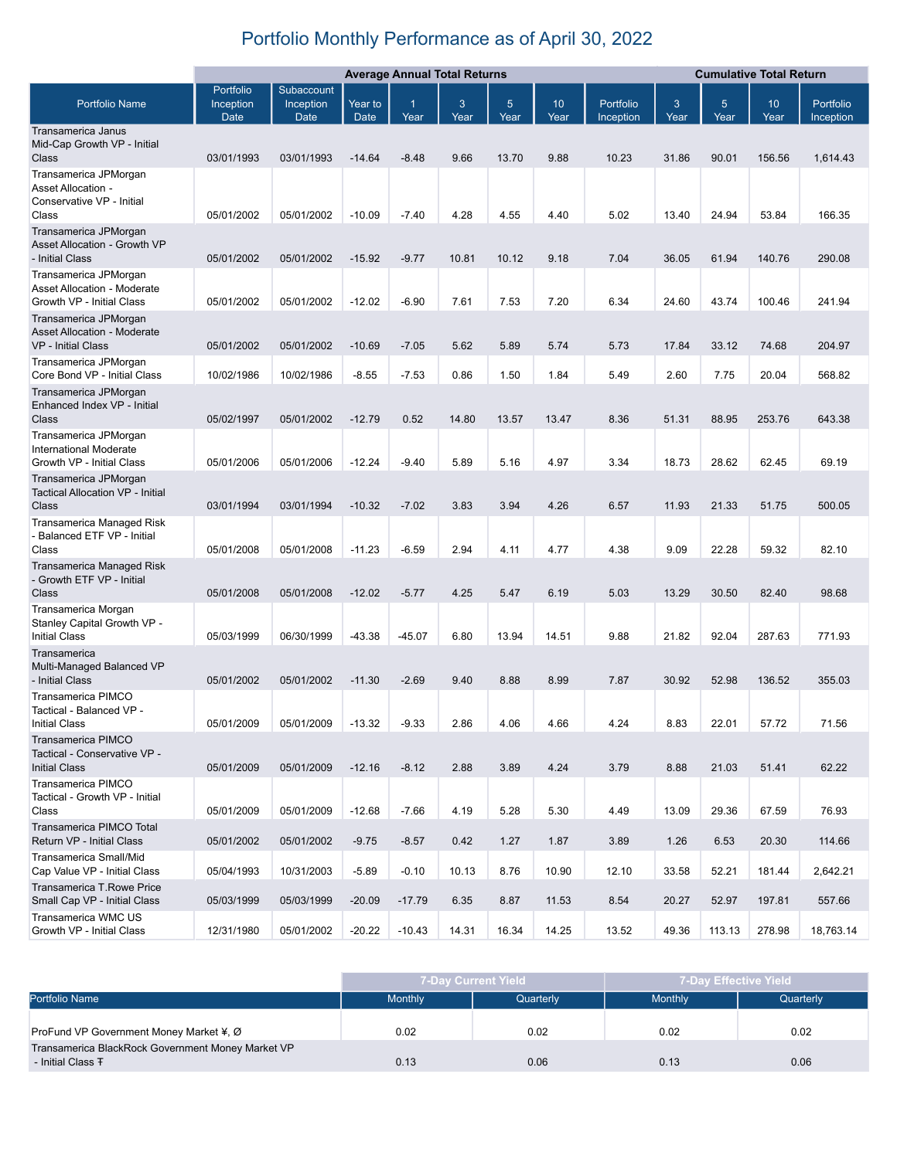## Portfolio Monthly Performance as of April 30, 2022

|                                                                                          | <b>Average Annual Total Returns</b> |                                 |                        |           |           | <b>Cumulative Total Return</b> |                         |                        |                      |           |            |                        |
|------------------------------------------------------------------------------------------|-------------------------------------|---------------------------------|------------------------|-----------|-----------|--------------------------------|-------------------------|------------------------|----------------------|-----------|------------|------------------------|
| <b>Portfolio Name</b>                                                                    | Portfolio<br>Inception<br>Date      | Subaccount<br>Inception<br>Date | Year to<br><b>Date</b> | 1<br>Year | 3<br>Year | 5 <sup>5</sup><br>Year         | 10 <sup>1</sup><br>Year | Portfolio<br>Inception | $\mathbf{3}$<br>Year | 5<br>Year | 10<br>Year | Portfolio<br>Inception |
| Transamerica Janus                                                                       |                                     |                                 |                        |           |           |                                |                         |                        |                      |           |            |                        |
| Mid-Cap Growth VP - Initial<br>Class                                                     | 03/01/1993                          | 03/01/1993                      | $-14.64$               | $-8.48$   | 9.66      | 13.70                          | 9.88                    | 10.23                  | 31.86                | 90.01     | 156.56     | 1,614.43               |
| Transamerica JPMorgan<br>Asset Allocation -<br>Conservative VP - Initial<br>Class        | 05/01/2002                          | 05/01/2002                      | $-10.09$               | $-7.40$   | 4.28      | 4.55                           | 4.40                    | 5.02                   | 13.40                | 24.94     | 53.84      | 166.35                 |
| Transamerica JPMorgan                                                                    |                                     |                                 |                        |           |           |                                |                         |                        |                      |           |            |                        |
| Asset Allocation - Growth VP<br>- Initial Class                                          | 05/01/2002                          | 05/01/2002                      | $-15.92$               | $-9.77$   | 10.81     | 10.12                          | 9.18                    | 7.04                   | 36.05                | 61.94     | 140.76     | 290.08                 |
| Transamerica JPMorgan<br><b>Asset Allocation - Moderate</b><br>Growth VP - Initial Class | 05/01/2002                          | 05/01/2002                      | $-12.02$               | $-6.90$   | 7.61      | 7.53                           | 7.20                    | 6.34                   | 24.60                | 43.74     | 100.46     | 241.94                 |
| Transamerica JPMorgan<br><b>Asset Allocation - Moderate</b>                              |                                     |                                 |                        |           |           |                                |                         |                        |                      |           |            |                        |
| VP - Initial Class<br>Transamerica JPMorgan                                              | 05/01/2002                          | 05/01/2002                      | $-10.69$               | $-7.05$   | 5.62      | 5.89                           | 5.74                    | 5.73                   | 17.84                | 33.12     | 74.68      | 204.97                 |
| Core Bond VP - Initial Class<br>Transamerica JPMorgan                                    | 10/02/1986                          | 10/02/1986                      | $-8.55$                | $-7.53$   | 0.86      | 1.50                           | 1.84                    | 5.49                   | 2.60                 | 7.75      | 20.04      | 568.82                 |
| Enhanced Index VP - Initial                                                              |                                     |                                 |                        |           |           |                                |                         |                        |                      |           |            |                        |
| Class                                                                                    | 05/02/1997                          | 05/01/2002                      | $-12.79$               | 0.52      | 14.80     | 13.57                          | 13.47                   | 8.36                   | 51.31                | 88.95     | 253.76     | 643.38                 |
| Transamerica JPMorgan<br>International Moderate<br>Growth VP - Initial Class             | 05/01/2006                          | 05/01/2006                      | $-12.24$               | $-9.40$   | 5.89      | 5.16                           | 4.97                    | 3.34                   | 18.73                | 28.62     | 62.45      | 69.19                  |
| Transamerica JPMorgan<br><b>Tactical Allocation VP - Initial</b><br>Class                | 03/01/1994                          | 03/01/1994                      | $-10.32$               | $-7.02$   | 3.83      | 3.94                           | 4.26                    | 6.57                   | 11.93                | 21.33     | 51.75      | 500.05                 |
| Transamerica Managed Risk<br>- Balanced ETF VP - Initial                                 |                                     |                                 |                        |           |           |                                |                         |                        |                      |           |            |                        |
| Class                                                                                    | 05/01/2008                          | 05/01/2008                      | $-11.23$               | $-6.59$   | 2.94      | 4.11                           | 4.77                    | 4.38                   | 9.09                 | 22.28     | 59.32      | 82.10                  |
| Transamerica Managed Risk<br>- Growth ETF VP - Initial<br>Class                          | 05/01/2008                          | 05/01/2008                      | $-12.02$               | $-5.77$   | 4.25      | 5.47                           | 6.19                    | 5.03                   | 13.29                | 30.50     | 82.40      | 98.68                  |
| Transamerica Morgan<br>Stanley Capital Growth VP -<br><b>Initial Class</b>               | 05/03/1999                          | 06/30/1999                      | $-43.38$               | $-45.07$  | 6.80      | 13.94                          | 14.51                   | 9.88                   | 21.82                | 92.04     | 287.63     | 771.93                 |
| Transamerica<br>Multi-Managed Balanced VP<br>- Initial Class                             | 05/01/2002                          | 05/01/2002                      | $-11.30$               | $-2.69$   | 9.40      | 8.88                           | 8.99                    | 7.87                   | 30.92                | 52.98     | 136.52     | 355.03                 |
| <b>Transamerica PIMCO</b><br>Tactical - Balanced VP -                                    |                                     |                                 |                        |           |           |                                |                         |                        |                      |           |            |                        |
| Initial Class                                                                            | 05/01/2009                          | 05/01/2009                      | $-13.32$               | $-9.33$   | 2.86      | 4.06                           | 4.66                    | 4.24                   | 8.83                 | 22.01     | 57.72      | 71.56                  |
| <b>Transamerica PIMCO</b><br>Tactical - Conservative VP -<br><b>Initial Class</b>        | 05/01/2009                          | 05/01/2009                      | $-12.16$               | $-8.12$   | 2.88      | 3.89                           | 4.24                    | 3.79                   | 8.88                 | 21.03     | 51.41      | 62.22                  |
| Transamerica PIMCO<br>Tactical - Growth VP - Initial<br>Class                            | 05/01/2009                          | 05/01/2009                      | $-12.68$               | $-7.66$   | 4.19      | 5.28                           | 5.30                    | 4.49                   | 13.09                | 29.36     | 67.59      | 76.93                  |
| Transamerica PIMCO Total<br>Return VP - Initial Class                                    | 05/01/2002                          | 05/01/2002                      | $-9.75$                | $-8.57$   | 0.42      | 1.27                           | 1.87                    | 3.89                   | 1.26                 | 6.53      | 20.30      | 114.66                 |
| Transamerica Small/Mid<br>Cap Value VP - Initial Class                                   | 05/04/1993                          | 10/31/2003                      | $-5.89$                | $-0.10$   | 10.13     | 8.76                           | 10.90                   | 12.10                  | 33.58                | 52.21     | 181.44     | 2,642.21               |
| Transamerica T.Rowe Price<br>Small Cap VP - Initial Class                                | 05/03/1999                          | 05/03/1999                      | $-20.09$               | $-17.79$  | 6.35      | 8.87                           | 11.53                   | 8.54                   | 20.27                | 52.97     | 197.81     | 557.66                 |
| Transamerica WMC US<br>Growth VP - Initial Class                                         | 12/31/1980                          | 05/01/2002                      | $-20.22$               | $-10.43$  | 14.31     | 16.34                          | 14.25                   | 13.52                  | 49.36                | 113.13    | 278.98     | 18,763.14              |

|                                                                                   |                | <b>7-Day Current Yield</b> | 7-Day Effective Yield |           |  |  |
|-----------------------------------------------------------------------------------|----------------|----------------------------|-----------------------|-----------|--|--|
| <b>Portfolio Name</b>                                                             | <b>Monthly</b> | Quarterly                  | <b>Monthly</b>        | Quarterly |  |  |
| ProFund VP Government Money Market ¥, Ø                                           | 0.02           | 0.02                       | 0.02                  | 0.02      |  |  |
| Transamerica BlackRock Government Money Market VP<br>- Initial Class <sub>T</sub> | 0.13           | 0.06                       | 0.13                  | 0.06      |  |  |